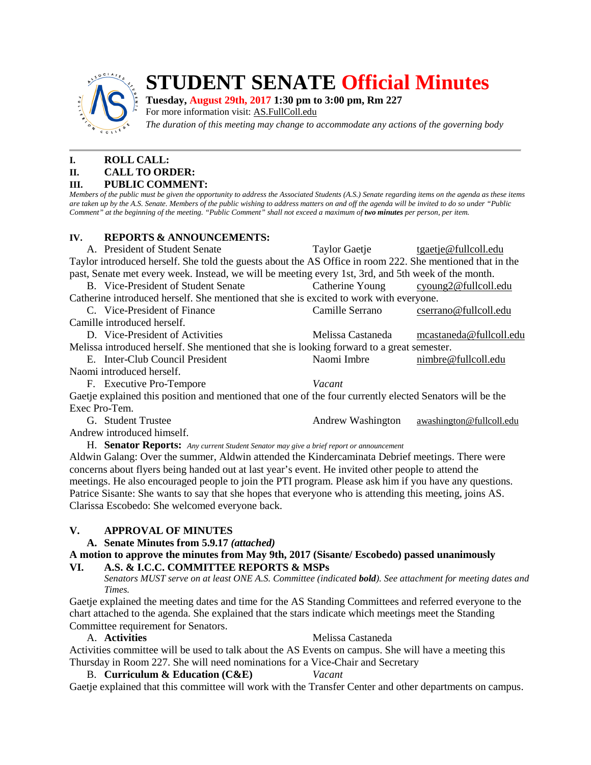

# **STUDENT SENATE Official Minutes**

### **Tuesday, August 29th, 2017 1:30 pm to 3:00 pm, Rm 227**

For more information visit: AS.FullColl.edu

*The duration of this meeting may change to accommodate any actions of the governing body*

# **I. ROLL CALL:**

# **II. CALL TO ORDER:**

### **III. PUBLIC COMMENT:**

*Members of the public must be given the opportunity to address the Associated Students (A.S.) Senate regarding items on the agenda as these items are taken up by the A.S. Senate. Members of the public wishing to address matters on and off the agenda will be invited to do so under "Public Comment" at the beginning of the meeting. "Public Comment" shall not exceed a maximum of two minutes per person, per item.*

### **IV. REPORTS & ANNOUNCEMENTS:**

A. President of Student Senate Taylor Gaetje tgaetj[e@fullcoll.edu](mailto:ndiehr@fullcoll.edu) Taylor introduced herself. She told the guests about the AS Office in room 222. She mentioned that in the past, Senate met every week. Instead, we will be meeting every 1st, 3rd, and 5th week of the month. B. Vice-President of Student Senate Catherine Young cyoung[2@fullcoll.edu](mailto:tgaetje@fullcoll.edu) Catherine introduced herself. She mentioned that she is excited to work with everyone. C. Vice-President of Finance Camille Serrano cserran[o@fullcoll.edu](mailto:kflores@fullcoll.edu) Camille introduced herself. D. Vice-President of Activities Melissa Castaneda mcastaned[a@fullcoll.edu](mailto:lmukasawilson@fullcoll.edu) Melissa introduced herself. She mentioned that she is looking forward to a great semester. E. Inter-Club Council President Naomi Imbre nimbre @fullcoll.edu Naomi introduced herself. F. Executive Pro-Tempore *Vacant* Gaetje explained this position and mentioned that one of the four currently elected Senators will be the Exec Pro-Tem. G. Student Trustee Andrew Washington awashington  $\Theta$ fullcoll.edu

Andrew introduced himself.

H. **Senator Reports:** *Any current Student Senator may give a brief report or announcement*

Aldwin Galang: Over the summer, Aldwin attended the Kindercaminata Debrief meetings. There were concerns about flyers being handed out at last year's event. He invited other people to attend the meetings. He also encouraged people to join the PTI program. Please ask him if you have any questions. Patrice Sisante: She wants to say that she hopes that everyone who is attending this meeting, joins AS. Clarissa Escobedo: She welcomed everyone back.

### **V. APPROVAL OF MINUTES**

### **A. Senate Minutes from 5.9.17** *(attached)*

### **A motion to approve the minutes from May 9th, 2017 (Sisante/ Escobedo) passed unanimously VI. A.S. & I.C.C. COMMITTEE REPORTS & MSPs**

*Senators MUST serve on at least ONE A.S. Committee (indicated bold). See attachment for meeting dates and Times.*

Gaetje explained the meeting dates and time for the AS Standing Committees and referred everyone to the chart attached to the agenda. She explained that the stars indicate which meetings meet the Standing Committee requirement for Senators.

### A. **Activities** Melissa Castaneda

Activities committee will be used to talk about the AS Events on campus. She will have a meeting this Thursday in Room 227. She will need nominations for a Vice-Chair and Secretary

## B. **Curriculum & Education (C&E)** *Vacant*

Gaetje explained that this committee will work with the Transfer Center and other departments on campus.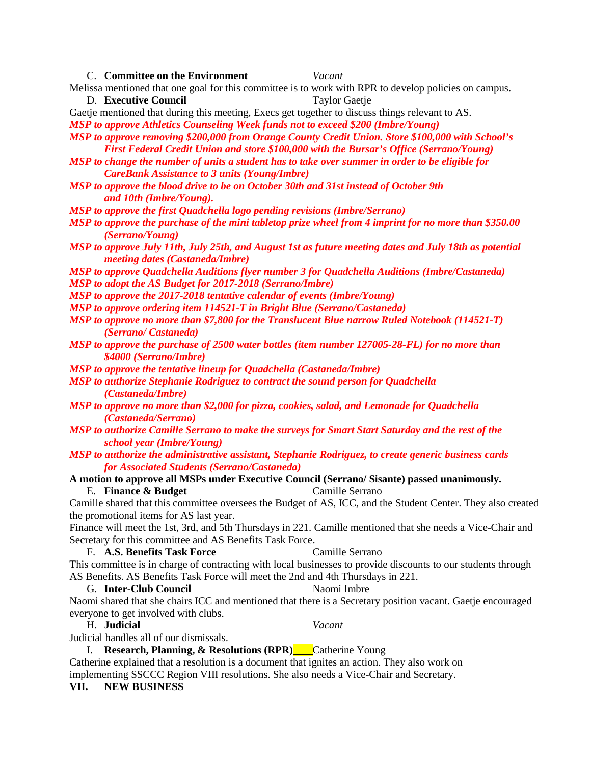| C. Committee on the Environment                                                                                                                                                             |
|---------------------------------------------------------------------------------------------------------------------------------------------------------------------------------------------|
| Vacant<br>Melissa mentioned that one goal for this committee is to work with RPR to develop policies on campus.                                                                             |
| D. Executive Council<br><b>Taylor Gaetje</b>                                                                                                                                                |
|                                                                                                                                                                                             |
| Gaetje mentioned that during this meeting, Execs get together to discuss things relevant to AS.                                                                                             |
| MSP to approve Athletics Counseling Week funds not to exceed \$200 (Imbre/Young)                                                                                                            |
| MSP to approve removing \$200,000 from Orange County Credit Union. Store \$100,000 with School's<br>First Federal Credit Union and store \$100,000 with the Bursar's Office (Serrano/Young) |
| MSP to change the number of units a student has to take over summer in order to be eligible for<br><b>CareBank Assistance to 3 units (Young/Imbre)</b>                                      |
| MSP to approve the blood drive to be on October 30th and 31st instead of October 9th<br>and 10th (Imbre/Young).                                                                             |
| <b>MSP</b> to approve the first Quadchella logo pending revisions (Imbre/Serrano)                                                                                                           |
| MSP to approve the purchase of the mini tabletop prize wheel from 4 imprint for no more than \$350.00                                                                                       |
| <i>(Serrano/Young)</i>                                                                                                                                                                      |
| MSP to approve July 11th, July 25th, and August 1st as future meeting dates and July 18th as potential<br>meeting dates (Castaneda/Imbre)                                                   |
| MSP to approve Quadchella Auditions flyer number 3 for Quadchella Auditions (Imbre/Castaneda)                                                                                               |
| MSP to adopt the AS Budget for 2017-2018 (Serrano/Imbre)                                                                                                                                    |
| MSP to approve the 2017-2018 tentative calendar of events (Imbre/Young)                                                                                                                     |
| MSP to approve ordering item 114521-T in Bright Blue (Serrano/Castaneda)                                                                                                                    |
| MSP to approve no more than \$7,800 for the Translucent Blue narrow Ruled Notebook (114521-T)<br>(Serrano/Castaneda)                                                                        |
| MSP to approve the purchase of 2500 water bottles (item number 127005-28-FL) for no more than<br>\$4000 (Serrano/Imbre)                                                                     |
| <b>MSP</b> to approve the tentative lineup for Quadchella (Castaneda/Imbre)                                                                                                                 |
| MSP to authorize Stephanie Rodriguez to contract the sound person for Quadchella                                                                                                            |
| (Castaneda/Imbre)                                                                                                                                                                           |
| MSP to approve no more than \$2,000 for pizza, cookies, salad, and Lemonade for Quadchella<br>(Castaneda/Serrano)                                                                           |
| MSP to authorize Camille Serrano to make the surveys for Smart Start Saturday and the rest of the<br>school year (Imbre/Young)                                                              |
| MSP to authorize the administrative assistant, Stephanie Rodriguez, to create generic business cards                                                                                        |
| for Associated Students (Serrano/Castaneda)                                                                                                                                                 |
| A motion to approve all MSPs under Executive Council (Serrano/Sisante) passed unanimously.                                                                                                  |
| E. Finance & Budget<br>Camille Serrano                                                                                                                                                      |
| Camille shared that this committee oversees the Budget of AS, ICC, and the Student Center. They also created                                                                                |
| the promotional items for AS last year.                                                                                                                                                     |
| Finance will meet the 1st, 3rd, and 5th Thursdays in 221. Camille mentioned that she needs a Vice-Chair and                                                                                 |
| Secretary for this committee and AS Benefits Task Force.                                                                                                                                    |
| F. A.S. Benefits Task Force<br>Camille Serrano                                                                                                                                              |
| This committee is in charge of contracting with local businesses to provide discounts to our students through                                                                               |
| AS Benefits. AS Benefits Task Force will meet the 2nd and 4th Thursdays in 221.                                                                                                             |
| Naomi Imbre<br>G. Inter-Club Council                                                                                                                                                        |
| Naomi shared that she chairs ICC and mentioned that there is a Secretary position vacant. Gaetje encouraged                                                                                 |
| everyone to get involved with clubs.                                                                                                                                                        |
| H. Judicial<br>Vacant                                                                                                                                                                       |

Judicial handles all of our dismissals.

I. **Research, Planning, & Resolutions (RPR)** Catherine Young

Catherine explained that a resolution is a document that ignites an action. They also work on implementing SSCCC Region VIII resolutions. She also needs a Vice-Chair and Secretary.

**VII. NEW BUSINESS**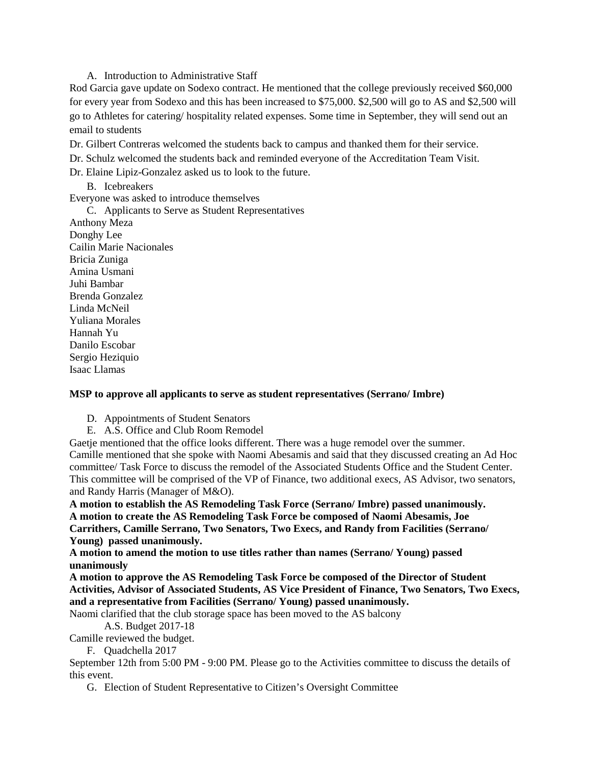A. Introduction to Administrative Staff

Rod Garcia gave update on Sodexo contract. He mentioned that the college previously received \$60,000 for every year from Sodexo and this has been increased to \$75,000. \$2,500 will go to AS and \$2,500 will go to Athletes for catering/ hospitality related expenses. Some time in September, they will send out an email to students

Dr. Gilbert Contreras welcomed the students back to campus and thanked them for their service.

Dr. Schulz welcomed the students back and reminded everyone of the Accreditation Team Visit.

Dr. Elaine Lipiz-Gonzalez asked us to look to the future.

B. Icebreakers

Everyone was asked to introduce themselves

C. Applicants to Serve as Student Representatives Anthony Meza Donghy Lee Cailin Marie Nacionales Bricia Zuniga Amina Usmani Juhi Bambar Brenda Gonzalez Linda McNeil Yuliana Morales Hannah Yu Danilo Escobar Sergio Heziquio Isaac Llamas

### **MSP to approve all applicants to serve as student representatives (Serrano/ Imbre)**

- D. Appointments of Student Senators
- E. A.S. Office and Club Room Remodel

Gaetje mentioned that the office looks different. There was a huge remodel over the summer. Camille mentioned that she spoke with Naomi Abesamis and said that they discussed creating an Ad Hoc committee/ Task Force to discuss the remodel of the Associated Students Office and the Student Center. This committee will be comprised of the VP of Finance, two additional execs, AS Advisor, two senators, and Randy Harris (Manager of M&O).

**A motion to establish the AS Remodeling Task Force (Serrano/ Imbre) passed unanimously. A motion to create the AS Remodeling Task Force be composed of Naomi Abesamis, Joe Carrithers, Camille Serrano, Two Senators, Two Execs, and Randy from Facilities (Serrano/ Young) passed unanimously.**

**A motion to amend the motion to use titles rather than names (Serrano/ Young) passed unanimously**

**A motion to approve the AS Remodeling Task Force be composed of the Director of Student Activities, Advisor of Associated Students, AS Vice President of Finance, Two Senators, Two Execs, and a representative from Facilities (Serrano/ Young) passed unanimously.**

Naomi clarified that the club storage space has been moved to the AS balcony

A.S. Budget 2017-18

Camille reviewed the budget.

F. Quadchella 2017

September 12th from 5:00 PM - 9:00 PM. Please go to the Activities committee to discuss the details of this event.

G. Election of Student Representative to Citizen's Oversight Committee